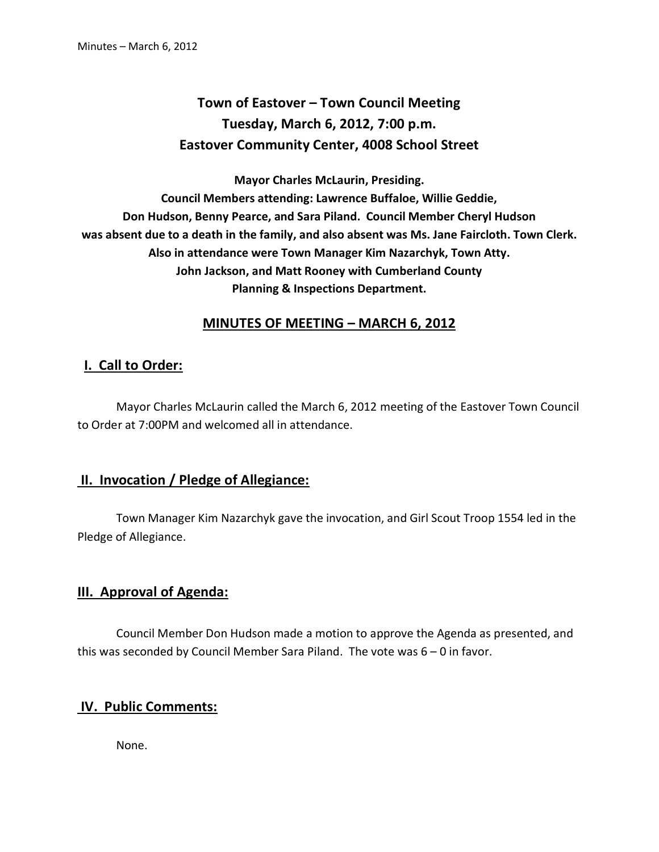# **Town of Eastover – Town Council Meeting Tuesday, March 6, 2012, 7:00 p.m. Eastover Community Center, 4008 School Street**

**Mayor Charles McLaurin, Presiding. Council Members attending: Lawrence Buffaloe, Willie Geddie, Don Hudson, Benny Pearce, and Sara Piland. Council Member Cheryl Hudson was absent due to a death in the family, and also absent was Ms. Jane Faircloth. Town Clerk. Also in attendance were Town Manager Kim Nazarchyk, Town Atty. John Jackson, and Matt Rooney with Cumberland County Planning & Inspections Department.** 

## **MINUTES OF MEETING – MARCH 6, 2012**

### **I. Call to Order:**

 Mayor Charles McLaurin called the March 6, 2012 meeting of the Eastover Town Council to Order at 7:00PM and welcomed all in attendance.

#### **II. Invocation / Pledge of Allegiance:**

 Town Manager Kim Nazarchyk gave the invocation, and Girl Scout Troop 1554 led in the Pledge of Allegiance.

#### **III. Approval of Agenda:**

 Council Member Don Hudson made a motion to approve the Agenda as presented, and this was seconded by Council Member Sara Piland. The vote was 6 – 0 in favor.

### **IV. Public Comments:**

None.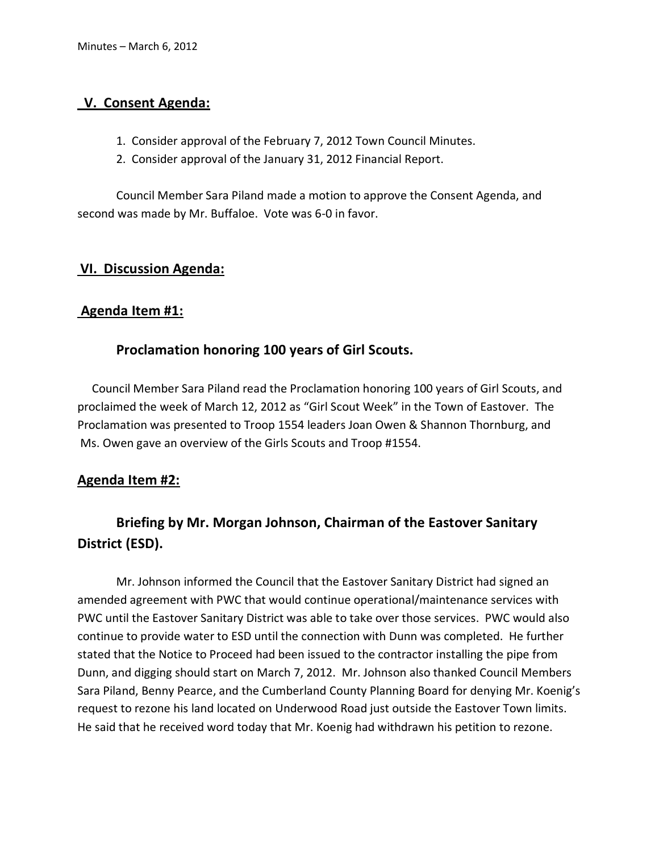# **V. Consent Agenda:**

- 1. Consider approval of the February 7, 2012 Town Council Minutes.
- 2. Consider approval of the January 31, 2012 Financial Report.

 Council Member Sara Piland made a motion to approve the Consent Agenda, and second was made by Mr. Buffaloe. Vote was 6-0 in favor.

## **VI. Discussion Agenda:**

## **Agenda Item #1:**

## **Proclamation honoring 100 years of Girl Scouts.**

 Council Member Sara Piland read the Proclamation honoring 100 years of Girl Scouts, and proclaimed the week of March 12, 2012 as "Girl Scout Week" in the Town of Eastover. The Proclamation was presented to Troop 1554 leaders Joan Owen & Shannon Thornburg, and Ms. Owen gave an overview of the Girls Scouts and Troop #1554.

# **Agenda Item #2:**

# **Briefing by Mr. Morgan Johnson, Chairman of the Eastover Sanitary District (ESD).**

Mr. Johnson informed the Council that the Eastover Sanitary District had signed an amended agreement with PWC that would continue operational/maintenance services with PWC until the Eastover Sanitary District was able to take over those services. PWC would also continue to provide water to ESD until the connection with Dunn was completed. He further stated that the Notice to Proceed had been issued to the contractor installing the pipe from Dunn, and digging should start on March 7, 2012. Mr. Johnson also thanked Council Members Sara Piland, Benny Pearce, and the Cumberland County Planning Board for denying Mr. Koenig's request to rezone his land located on Underwood Road just outside the Eastover Town limits. He said that he received word today that Mr. Koenig had withdrawn his petition to rezone.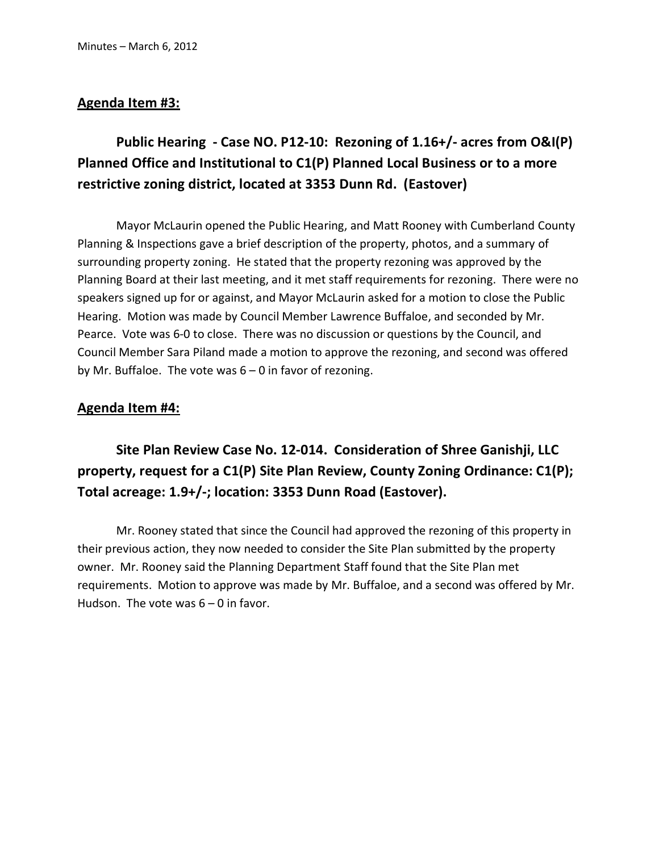#### **Agenda Item #3:**

# **Public Hearing - Case NO. P12-10: Rezoning of 1.16+/- acres from O&I(P) Planned Office and Institutional to C1(P) Planned Local Business or to a more restrictive zoning district, located at 3353 Dunn Rd. (Eastover)**

 Mayor McLaurin opened the Public Hearing, and Matt Rooney with Cumberland County Planning & Inspections gave a brief description of the property, photos, and a summary of surrounding property zoning. He stated that the property rezoning was approved by the Planning Board at their last meeting, and it met staff requirements for rezoning. There were no speakers signed up for or against, and Mayor McLaurin asked for a motion to close the Public Hearing. Motion was made by Council Member Lawrence Buffaloe, and seconded by Mr. Pearce. Vote was 6-0 to close. There was no discussion or questions by the Council, and Council Member Sara Piland made a motion to approve the rezoning, and second was offered by Mr. Buffaloe. The vote was 6 – 0 in favor of rezoning.

#### **Agenda Item #4:**

 **Site Plan Review Case No. 12-014. Consideration of Shree Ganishji, LLC property, request for a C1(P) Site Plan Review, County Zoning Ordinance: C1(P); Total acreage: 1.9+/-; location: 3353 Dunn Road (Eastover).** 

Mr. Rooney stated that since the Council had approved the rezoning of this property in their previous action, they now needed to consider the Site Plan submitted by the property owner. Mr. Rooney said the Planning Department Staff found that the Site Plan met requirements. Motion to approve was made by Mr. Buffaloe, and a second was offered by Mr. Hudson. The vote was  $6 - 0$  in favor.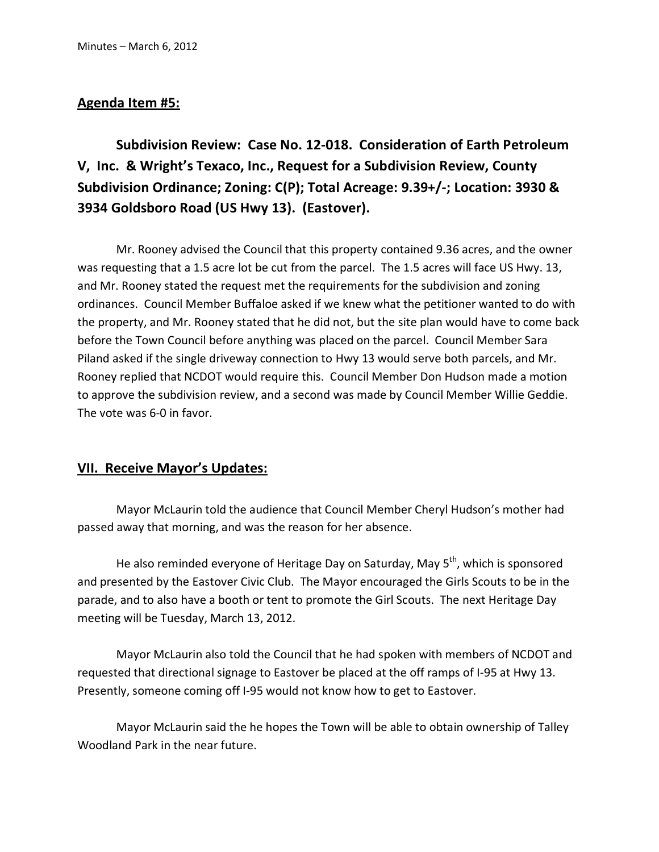#### **Agenda Item #5:**

 **Subdivision Review: Case No. 12-018. Consideration of Earth Petroleum V, Inc. & Wright's Texaco, Inc., Request for a Subdivision Review, County Subdivision Ordinance; Zoning: C(P); Total Acreage: 9.39+/-; Location: 3930 & 3934 Goldsboro Road (US Hwy 13). (Eastover).** 

Mr. Rooney advised the Council that this property contained 9.36 acres, and the owner was requesting that a 1.5 acre lot be cut from the parcel. The 1.5 acres will face US Hwy. 13, and Mr. Rooney stated the request met the requirements for the subdivision and zoning ordinances. Council Member Buffaloe asked if we knew what the petitioner wanted to do with the property, and Mr. Rooney stated that he did not, but the site plan would have to come back before the Town Council before anything was placed on the parcel. Council Member Sara Piland asked if the single driveway connection to Hwy 13 would serve both parcels, and Mr. Rooney replied that NCDOT would require this. Council Member Don Hudson made a motion to approve the subdivision review, and a second was made by Council Member Willie Geddie. The vote was 6-0 in favor.

### **VII. Receive Mayor's Updates:**

 Mayor McLaurin told the audience that Council Member Cheryl Hudson's mother had passed away that morning, and was the reason for her absence.

He also reminded everyone of Heritage Day on Saturday, May  $5<sup>th</sup>$ , which is sponsored and presented by the Eastover Civic Club. The Mayor encouraged the Girls Scouts to be in the parade, and to also have a booth or tent to promote the Girl Scouts. The next Heritage Day meeting will be Tuesday, March 13, 2012.

 Mayor McLaurin also told the Council that he had spoken with members of NCDOT and requested that directional signage to Eastover be placed at the off ramps of I-95 at Hwy 13. Presently, someone coming off I-95 would not know how to get to Eastover.

 Mayor McLaurin said the he hopes the Town will be able to obtain ownership of Talley Woodland Park in the near future.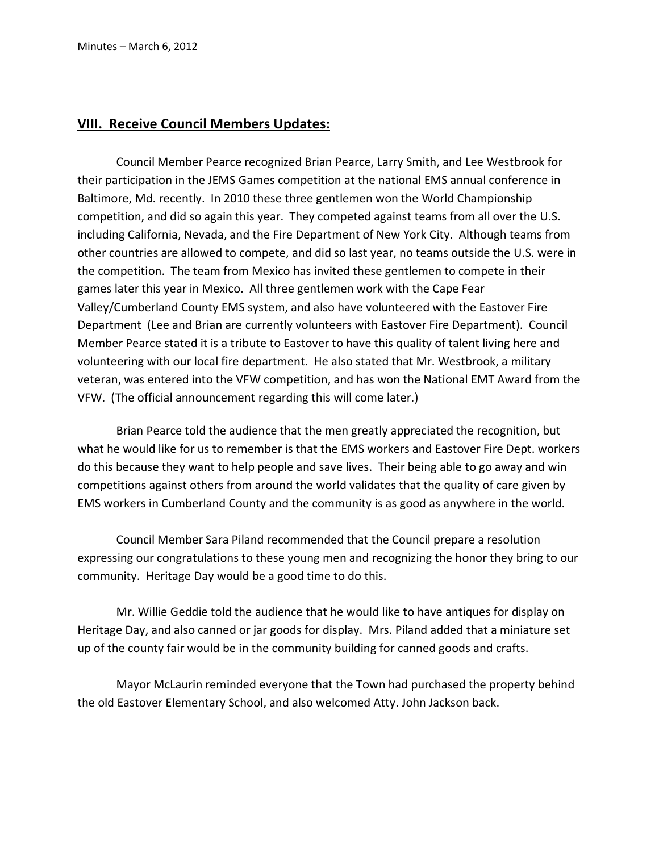#### **VIII. Receive Council Members Updates:**

 Council Member Pearce recognized Brian Pearce, Larry Smith, and Lee Westbrook for their participation in the JEMS Games competition at the national EMS annual conference in Baltimore, Md. recently. In 2010 these three gentlemen won the World Championship competition, and did so again this year. They competed against teams from all over the U.S. including California, Nevada, and the Fire Department of New York City. Although teams from other countries are allowed to compete, and did so last year, no teams outside the U.S. were in the competition. The team from Mexico has invited these gentlemen to compete in their games later this year in Mexico. All three gentlemen work with the Cape Fear Valley/Cumberland County EMS system, and also have volunteered with the Eastover Fire Department (Lee and Brian are currently volunteers with Eastover Fire Department). Council Member Pearce stated it is a tribute to Eastover to have this quality of talent living here and volunteering with our local fire department. He also stated that Mr. Westbrook, a military veteran, was entered into the VFW competition, and has won the National EMT Award from the VFW. (The official announcement regarding this will come later.)

 Brian Pearce told the audience that the men greatly appreciated the recognition, but what he would like for us to remember is that the EMS workers and Eastover Fire Dept. workers do this because they want to help people and save lives. Their being able to go away and win competitions against others from around the world validates that the quality of care given by EMS workers in Cumberland County and the community is as good as anywhere in the world.

 Council Member Sara Piland recommended that the Council prepare a resolution expressing our congratulations to these young men and recognizing the honor they bring to our community. Heritage Day would be a good time to do this.

 Mr. Willie Geddie told the audience that he would like to have antiques for display on Heritage Day, and also canned or jar goods for display. Mrs. Piland added that a miniature set up of the county fair would be in the community building for canned goods and crafts.

 Mayor McLaurin reminded everyone that the Town had purchased the property behind the old Eastover Elementary School, and also welcomed Atty. John Jackson back.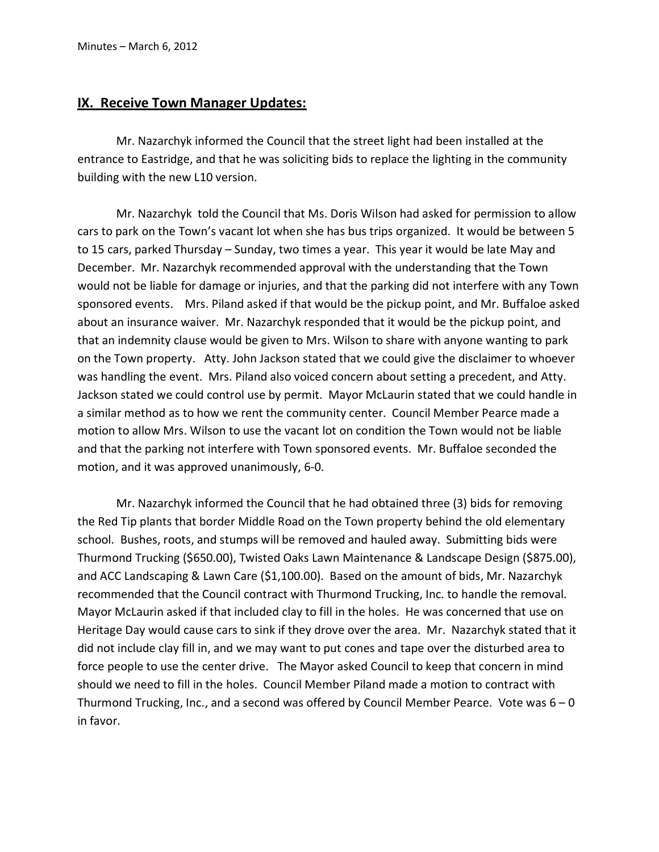#### **IX. Receive Town Manager Updates:**

 Mr. Nazarchyk informed the Council that the street light had been installed at the entrance to Eastridge, and that he was soliciting bids to replace the lighting in the community building with the new L10 version.

 Mr. Nazarchyk told the Council that Ms. Doris Wilson had asked for permission to allow cars to park on the Town's vacant lot when she has bus trips organized. It would be between 5 to 15 cars, parked Thursday – Sunday, two times a year. This year it would be late May and December. Mr. Nazarchyk recommended approval with the understanding that the Town would not be liable for damage or injuries, and that the parking did not interfere with any Town sponsored events. Mrs. Piland asked if that would be the pickup point, and Mr. Buffaloe asked about an insurance waiver. Mr. Nazarchyk responded that it would be the pickup point, and that an indemnity clause would be given to Mrs. Wilson to share with anyone wanting to park on the Town property. Atty. John Jackson stated that we could give the disclaimer to whoever was handling the event. Mrs. Piland also voiced concern about setting a precedent, and Atty. Jackson stated we could control use by permit. Mayor McLaurin stated that we could handle in a similar method as to how we rent the community center. Council Member Pearce made a motion to allow Mrs. Wilson to use the vacant lot on condition the Town would not be liable and that the parking not interfere with Town sponsored events. Mr. Buffaloe seconded the motion, and it was approved unanimously, 6-0.

 Mr. Nazarchyk informed the Council that he had obtained three (3) bids for removing the Red Tip plants that border Middle Road on the Town property behind the old elementary school. Bushes, roots, and stumps will be removed and hauled away. Submitting bids were Thurmond Trucking (\$650.00), Twisted Oaks Lawn Maintenance & Landscape Design (\$875.00), and ACC Landscaping & Lawn Care (\$1,100.00). Based on the amount of bids, Mr. Nazarchyk recommended that the Council contract with Thurmond Trucking, Inc. to handle the removal. Mayor McLaurin asked if that included clay to fill in the holes. He was concerned that use on Heritage Day would cause cars to sink if they drove over the area. Mr. Nazarchyk stated that it did not include clay fill in, and we may want to put cones and tape over the disturbed area to force people to use the center drive. The Mayor asked Council to keep that concern in mind should we need to fill in the holes. Council Member Piland made a motion to contract with Thurmond Trucking, Inc., and a second was offered by Council Member Pearce. Vote was 6 – 0 in favor.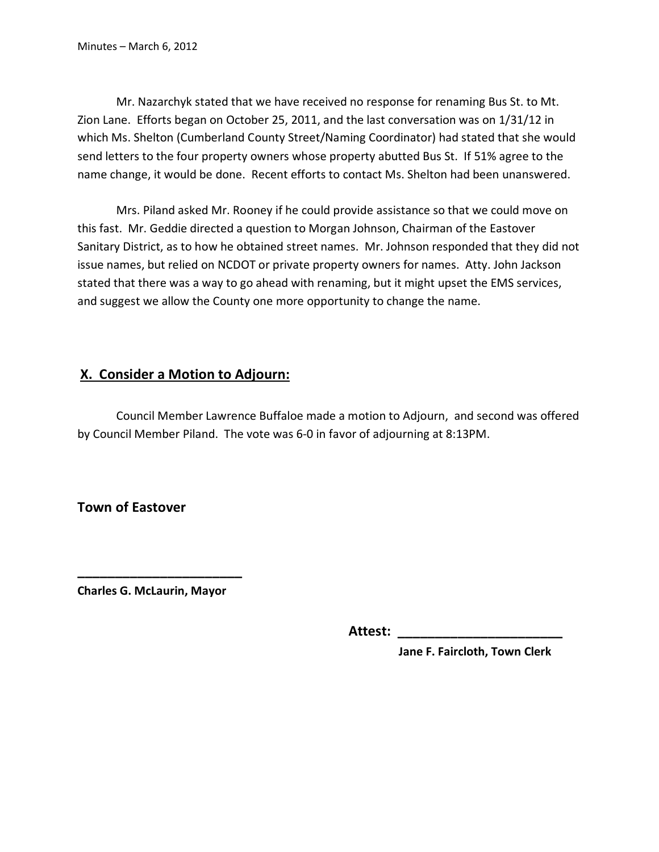Mr. Nazarchyk stated that we have received no response for renaming Bus St. to Mt. Zion Lane. Efforts began on October 25, 2011, and the last conversation was on 1/31/12 in which Ms. Shelton (Cumberland County Street/Naming Coordinator) had stated that she would send letters to the four property owners whose property abutted Bus St. If 51% agree to the name change, it would be done. Recent efforts to contact Ms. Shelton had been unanswered.

 Mrs. Piland asked Mr. Rooney if he could provide assistance so that we could move on this fast. Mr. Geddie directed a question to Morgan Johnson, Chairman of the Eastover Sanitary District, as to how he obtained street names. Mr. Johnson responded that they did not issue names, but relied on NCDOT or private property owners for names. Atty. John Jackson stated that there was a way to go ahead with renaming, but it might upset the EMS services, and suggest we allow the County one more opportunity to change the name.

## **X. Consider a Motion to Adjourn:**

 Council Member Lawrence Buffaloe made a motion to Adjourn, and second was offered by Council Member Piland. The vote was 6-0 in favor of adjourning at 8:13PM.

**Town of Eastover** 

**Charles G. McLaurin, Mayor** 

**\_\_\_\_\_\_\_\_\_\_\_\_\_\_\_\_\_\_\_\_\_\_** 

 **Attest: \_\_\_\_\_\_\_\_\_\_\_\_\_\_\_\_\_\_\_\_\_\_** 

 **Jane F. Faircloth, Town Clerk**